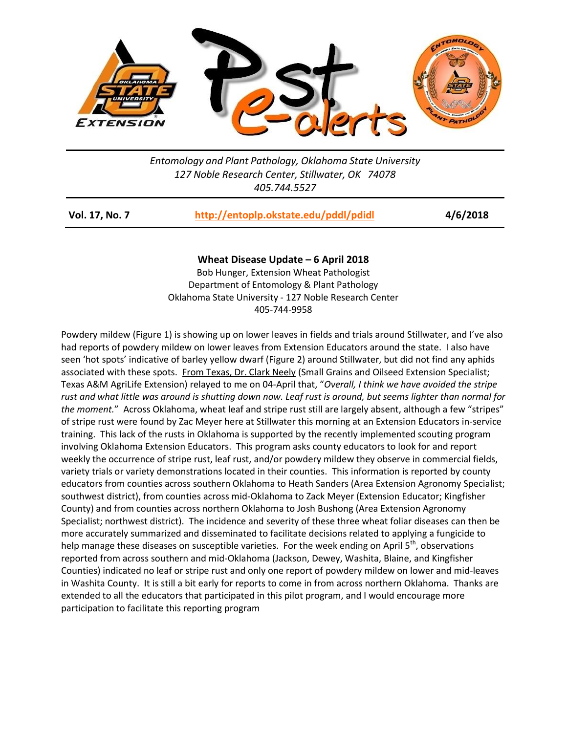

*Entomology and Plant Pathology, Oklahoma State University 127 Noble Research Center, Stillwater, OK 74078 405.744.5527*

| <b>Vol. 17, No. 7</b> | http://entoplp.okstate.edu/pddl/pdidl | 4/6/2018 |
|-----------------------|---------------------------------------|----------|
|-----------------------|---------------------------------------|----------|

## **Wheat Disease Update – 6 April 2018**

Bob Hunger, Extension Wheat Pathologist Department of Entomology & Plant Pathology Oklahoma State University - 127 Noble Research Center 405-744-9958

Powdery mildew (Figure 1) is showing up on lower leaves in fields and trials around Stillwater, and I've also had reports of powdery mildew on lower leaves from Extension Educators around the state. I also have seen 'hot spots' indicative of barley yellow dwarf (Figure 2) around Stillwater, but did not find any aphids associated with these spots. From Texas, Dr. Clark Neely (Small Grains and Oilseed Extension Specialist; Texas A&M AgriLife Extension) relayed to me on 04-April that, "*Overall, I think we have avoided the stripe rust and what little was around is shutting down now. Leaf rust is around, but seems lighter than normal for the moment.*" Across Oklahoma, wheat leaf and stripe rust still are largely absent, although a few "stripes" of stripe rust were found by Zac Meyer here at Stillwater this morning at an Extension Educators in-service training. This lack of the rusts in Oklahoma is supported by the recently implemented scouting program involving Oklahoma Extension Educators. This program asks county educators to look for and report weekly the occurrence of stripe rust, leaf rust, and/or powdery mildew they observe in commercial fields, variety trials or variety demonstrations located in their counties. This information is reported by county educators from counties across southern Oklahoma to Heath Sanders (Area Extension Agronomy Specialist; southwest district), from counties across mid-Oklahoma to Zack Meyer (Extension Educator; Kingfisher County) and from counties across northern Oklahoma to Josh Bushong (Area Extension Agronomy Specialist; northwest district). The incidence and severity of these three wheat foliar diseases can then be more accurately summarized and disseminated to facilitate decisions related to applying a fungicide to help manage these diseases on susceptible varieties. For the week ending on April 5<sup>th</sup>, observations reported from across southern and mid-Oklahoma (Jackson, Dewey, Washita, Blaine, and Kingfisher Counties) indicated no leaf or stripe rust and only one report of powdery mildew on lower and mid-leaves in Washita County. It is still a bit early for reports to come in from across northern Oklahoma. Thanks are extended to all the educators that participated in this pilot program, and I would encourage more participation to facilitate this reporting program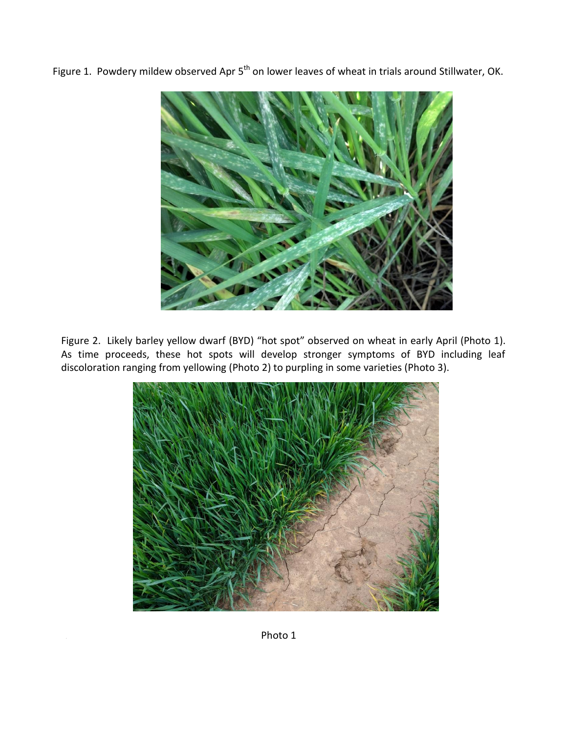Figure 1. Powdery mildew observed Apr 5<sup>th</sup> on lower leaves of wheat in trials around Stillwater, OK.



Figure 2. Likely barley yellow dwarf (BYD) "hot spot" observed on wheat in early April (Photo 1). As time proceeds, these hot spots will develop stronger symptoms of BYD including leaf discoloration ranging from yellowing (Photo 2) to purpling in some varieties (Photo 3).



Photo 1